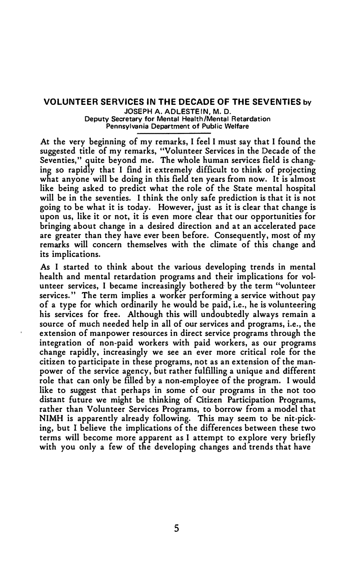## **VOLUNTEER SERVICES IN THE DECADE OF THE SEVENTIES by**

**JOSEPH A. ADLESTEIN, M. 0. Deputy Secretary for Mental Health/Mental Retardation Pennsylvania Department of Public Welfare** 

**At the very beginning of my remarks, I feel I must say that I found the suggested title of my remarks, "Volunteer Services in the Decade of the Seventies," quite beyond me. The whole human services field is changing so rapidly that I find it extremely difficult to think of projecting what anyone will be doing in this field ten years from now. It is almost like being asked to predict what the role of the State mental hospital will be in the seventies. I think the only safe prediction is that it is not going to be what it is today. However, just as it is clear that change is upon us, like it or not, it is even more clear that our opportunities for bringing about change in a desired direction and at an accelerated pace are greater than they have ever been before. Consequently, most of rny remarks will concern themselves with the climate of this change and its implications.** 

**As I started to think about the various developing trends in mental health and mental retardation programs and their implications for vol**unteer services, I became increasingly bothered by the term "volunteer **services. The term implies a worker performing a service without pay of a type for which ordinarily he would be paid, i.e., he is volunteering his services for free. Although this will undoubtedly always remain a source of much needed help in all of our services and programs, i.e., the extension of manpower resources in direct service programs through the integration of non-paid workers with paid workers, as our programs change rapidly, increasingly we see an ever more critical role for the citizen to participate in these programs, not as an extension of the manpower of the service agency, but rather fulfilling a unique and different role that can only be filled by a non-employee of the program. I would like to suggest that perhaps in some of our programs in the not too distant future we might be thinking of Citizen Participation Programs, rather than Volunteer Services Programs, to borrow from a model that NIMH is apparently already following. This may seem to be nit-picking, but I believe the implications of the differences between these two terms will become more apparent as I attempt to explore very briefly with you only a few of the developing changes and trends that have**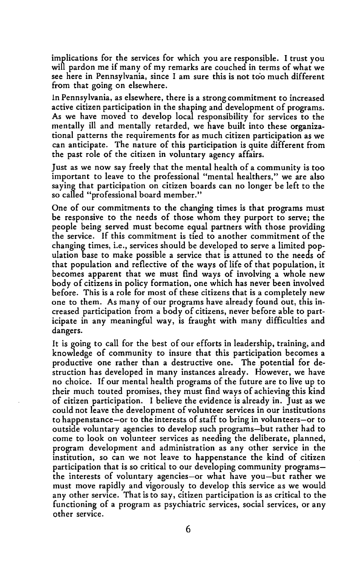implications for the services for which you are responsible. I trust you will pardon me if many of my remarks are couched in terms of what we see here in Pennsylvania, since I am sure this is not too much different from that going on elsewhere.

ln Pennsylvania, as elsewhere, there is a strong commitment to increased active citizen participation in the shaping and development of programs. As we have moved to develop local responsibility for services to the mentally ill and mentally retarded, we have built into these organizational patterns the requirements for as much citizen participation as we can anticipate. The nature of this participation is quite different from the past role of the citizen in voluntary agency affairs.

Just as we now say freely that the mental health of a community is too important to leave to the professional "mental healthers," we are also saying that participation on citizen boards can no longer be left to the so called "professional board member."

One of our commitments to the changing times is that programs must be responsive to the needs of those whom they purport to serve; the people being served must become equal partners with those providing the service. If this commitment is tied to another commitment of the changing times, i.e., services should be developed to serve a limited population base to make possible a service that is attuned to the needs of that population and reflective of the ways of life of that population, it becomes apparent that we must find ways of involving a whole new body of citizens in policy formation, one which has never been involved before. This is a role for most of these citizens that is a completely new one to them. As many of our programs have already found out, this increased participation from a body of citizens, never before able to participate in any meaningful way, is fraught with many difficulties and dangers.

It is going to call for the best of our efforts in leadership, training, and knowledge of community to insure that this participation becomes a productive one rather than a destructive one. The potential for destruction has developed in many instances already. However, we have no choice. If our mental health programs of the future are to live up to their much touted promises, they must find ways of achieving this kind of citizen participation. I believe the evidence is already in. Just as we could not leave the development of volunteer services in our institutions to happenstance-or to the interests of staff to bring in volunteers-or to outside voluntary agencies to develop such programs-but rather had to come to look on volunteer services as needing the deliberate, planned, program development and administration as any other service in the institution, so can we not leave to happenstance the kind of citizen participation that is so critical to our developing community programsthe interests of voluntary agencies-or what have you-but rather we must move rapidly and vigorously to develop this service as we would any other service. That is to say, citizen participation is as critical to the functioning of a program as psychiatric services, social services, or any other service.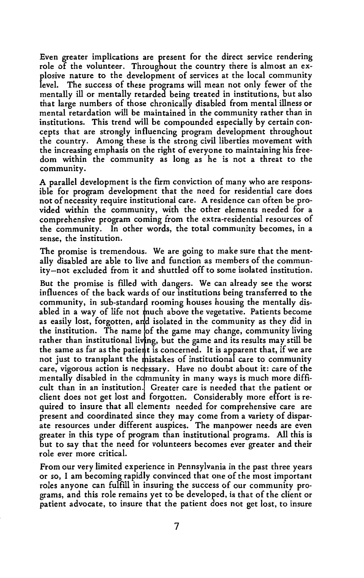Even greater implications are present for the direct service rendering role of the volunteer. Throughout the country there is almost an explosive nature to the development of services at the local community level. The success of these programs will mean not only fewer of the mentally ill or mentally retarded being treated in institutions, but also that large numbers of those chronically disabled from mental illness or mental retardation will be maintained in the community rather than in institutions. This trend will be compounded especially by certain concepts that are strongly influencing program development throughout the country. Among these is the strong civil liberties movement with the increasing emphasis on the right of everyone to maintaining his freedom within the community as long as he is not a threat to the community.

A parallel development is the firm conviction of many who are responsible for program development that the need for residential care does not of necessity require institutional care. A residence can often be provided within the community, with the other elements needed for a comprehensive program coming from the extra-residential resources of the community. In other words, the total community becomes, in a sense, the institution.

The promise is tremendous. We are going to make sure that the mentally disabled are able to live and function as members of the community-not excluded from it and shuttled off to some isolated institution.

But the promise is filled with dangers. We can already see the worst influences of the back wards of our institutions being transferred to the community, in sub-standard rooming houses housing the mentally disabled in a way of life not much above the vegetative. Patients become as easily lost, forgotten, and isolated in the community as they did in the institution. The name of the game may change, community living rather than institutional living, but the game and its results may still be the same as far as the patient is concerned. It is apparent that, if we are not just to transplant the mistakes of institutional care to community care, vigorous action is necessary. Have no doubt about it: care of the mentally disabled in the community in many ways is much more difficult than in an institution. Greater care is needed that the patient or client does not get lost and forgotten. Considerably more effort is required to insure that all elements needed for comprehensive care are present and coordinated since they may come from a variety of disparate resources under different auspices. The manpower needs are even greater in this type of program than institutional programs. All this is but to say that the need for volunteers becomes ever greater and their role ever more critical.

From our very limited experience in Pennsylvania in the past three years or so, I am becoming rapidly convinced that one of the most important roles anyone can fulfill in insuring the success of our community programs, and this role remains yet to be developed, is that of the client or patient advocate, to insure that the patient does not get lost, to insure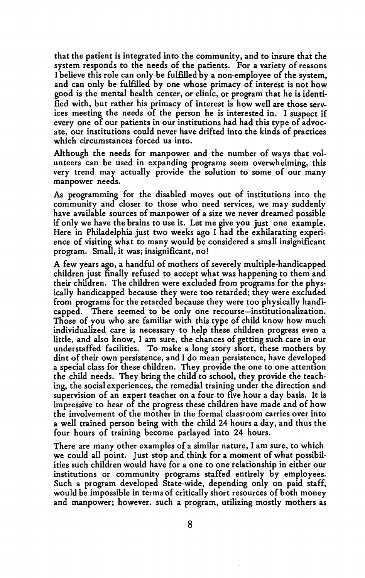that the patient is integrated into the community, and to insure that the system responds to the needs of the patients. For a variety of reasons I believe this role can only be fulfilled by a non-employee of the system, and can only be fulfilled by one whose primacy of interest is not how good is the mental health center, or clinic, or program that he is identified with, but rather his primacy of interest is how well are those services meeting the needs of the person he is interested in. I suspect if every one of our patients in our institutions had had this type of advocate, our institutions could never have drifted into the kinds of practices which circumstances forced us into.

Although the needs for manpower and the number of ways that volunteers can be used in expanding programs seem overwhelming, this very trend may actually provide the solution to some of our many manpower needs.

As programming for the disabled moves out of institutions into the community and closer to those who need services, we may suddenly have available sources of manpower of a size we never dreamed possible if only we have the brains to use it. Let me give you just one example. Here in Philadelphia just two weeks ago I had the exhilarating experience of visiting what to many would be considered a small insignificant program. Small, it was; insignificant, no!

A few years ago, a handful of mothers of severely multiple-handicapped children just finally refused to accept what was happening to them and their children. The children were excluded from programs for the physically handicapped because they were too retarded; they were excluded from programs for the retarded because they were too physically handicapped. There seemed to be only one recourse-institutionalization. Those of you who are familiar with this type of child know how much individualized care is necessary to help these children progress even a little, and also know, I am sure, the chances of getting such care in our understaffed facilities. To make a long story short, these mothers by dint of their own persistence, and I do mean persistence, have developed a special class for these children. They provide the one to one attention the child needs. They bring the child to school, they provide the teaching, the social experiences, the remedial training under the direction and supervision of an expert teacher on a four to five hour a day basis. It is impressive to hear of the progress these children have made and of how the involvement of the mother in the formal classroom carries over into a well trained person being with the child 24 hours a day, and thus the four hours of training become parlayed into 24 hours.

There are many other examples of a similar nature, I am sure, to which we could all point. Just stop and think for a moment of what possibilities such children would have for a one to one relationship in either our institutions or community programs staffed entirely by employees. Such a program developed State-wide, depending only on paid staff, would be impossible in terms of critically short resources of both money and manpower; however. such a program, utilizing mostly mothers as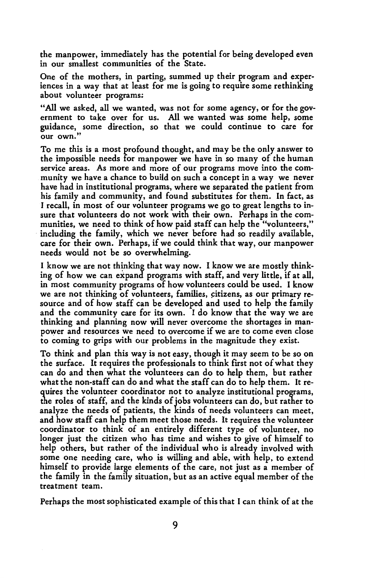the manpower, immediately has the potential for being developed even in our smallest communities of the State.

One of the mothers, in parting, summed up their program and experiences in a way that at least for me is going to require some rethinking about volunteer programs:

"All we asked, all we wanted, was not for some agency, or for the government to take over for us. All we wanted was some help, some guidance, some direction, so that we could continue to care for our own."

To me this is a most profound thought, and may be the only answer to the impossible needs for manpower we have in so many of the human service areas. As more and more of our programs move into the community we have a chance to build on such a concept in a way we never have had in institutional programs, where we separated the patient from his family and community, and found substitutes for them. In fact, as I recall, in most of our volunteer programs we go to great lengths to insure that volunteers do not work with their own. Perhaps in the communities, we need to think of how paid staff can help the "volunteers," including the family, which we never before had so readily available, care for their own. Perhaps, if we could think that way, our manpower needs would not be so overwhelming.

I know we are not thinking that way now. I know we are mostly thinking of how we can expand programs with staff, and very little, if at all, in most community programs of how volunteers could be used. I know we are not thinking of volunteers, families, citizens, as our primary resource and of how staff can be developed and used to help the family and the community care for its own. I do know that the way we are thinking and planning now will never overcome the shortages in manpower and resources we need to overcome if we are to come even close to coming to grips with our problems in the magnitude they exist.

To think and plan this way is not easy, though it may seem to be so on the surface. It requires the professionals to think first not of what they can do and then what the volunteers can do to help them, but rather what the non-staff can do and what the staff can do to help them. It requires the volunteer coordinator not to analyze institutional programs, the roles of staff, and the kinds of jobs volunteers can do, but rather to analyze the needs of patients, the kinds of needs volunteers can meet, and how staff can help them meet those needs. It requires the volunteer coordinator to think of an entirely different type of volunteer, no longer just the citizen who has time and wishes to give of himself to help others, but rather of the individual who is already involved with some one needing care, who is willing and able, with help, to extend himself to provide large elements of the care, not just as a member of the family in the family situation, but as an active equal member of the treatment team.

Perhaps the most sophisticated example of this that I can think of at the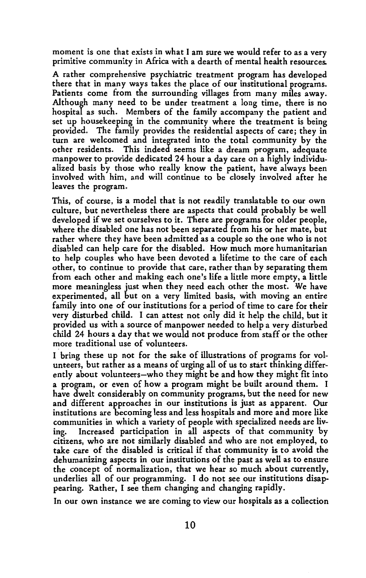moment is one that exists in what I am sure we would refer to as a very primitive community in Africa with a dearth of mental health resources.

A rather comprehensive psychiatric treatment program has developed there that in many ways takes the place of our institutional programs. Patients come from the surrounding villages from many miles away. Although many need to be under treatment a long time, there is no hospital as such. Members of the family accompany the patient and set up housekeeping in the community where the treatment is being provided. The family provides the residential aspects of care; they in turn are welcomed and integrated into the total community by the other residents. This indeed seems like a dream program, adequate manpower to provide dedicated 24 hour a day care on a highly individualized basis by those who really know the patient, have always been involved with him, and will continue to be closely involved after he leaves the program.

This, of course, is a model that is not readily translatable to our own culture, but nevertheless there are aspects that could probably be well developed if we set ourselves to it. There are programs for older people, where the disabled one has not been separated from his or her mate, but rather where they have been admitted as a couple so the one who is not disabled can help care for the disabled. How much more humanitarian to help couples who have been devoted a lifetime to the care of each other, to continue to provide that care, rather than by separating them from each other and making each one's life a little more empty, a little more meaningless just when they need each other the most. We have experimented, all but on a very limited basis, with moving an entire family into one of our institutions for a period of time to care for their very disturbed child. I can attest not only did it help the child, but it provided us with a source of manpower needed to help a very disturbed child 24 hours a day that we would not produce from staff or the other more traditional use of volunteers.

I bring these up not for the sake of illustrations of programs for volunteers, but rather as a means of urging all of us to start thinking differently about volunteers-who they might be and how they might fit into a program, or even of how a program might be built around them. I have dwelt considerably on community programs, but the need for new and different approaches in our institutions is just as apparent. Our institutions are becoming less and less hospitals and more and more like communities in which a variety of people with specialized needs are living. Increased participation in all aspects of that community by citizens, who are not similarly disabled and who are not employed, to take care of the disabled is critical if that community is to avoid the dehumanizing aspects in our institutions of the past as well as to ensure the concept of normalization, that we hear so much about currently, underlies all of our programming. I do not see our institutions disappearing. Rather, I see them changing and changing rapidly.

In our own instance we are coming to view our hospitals as a collection